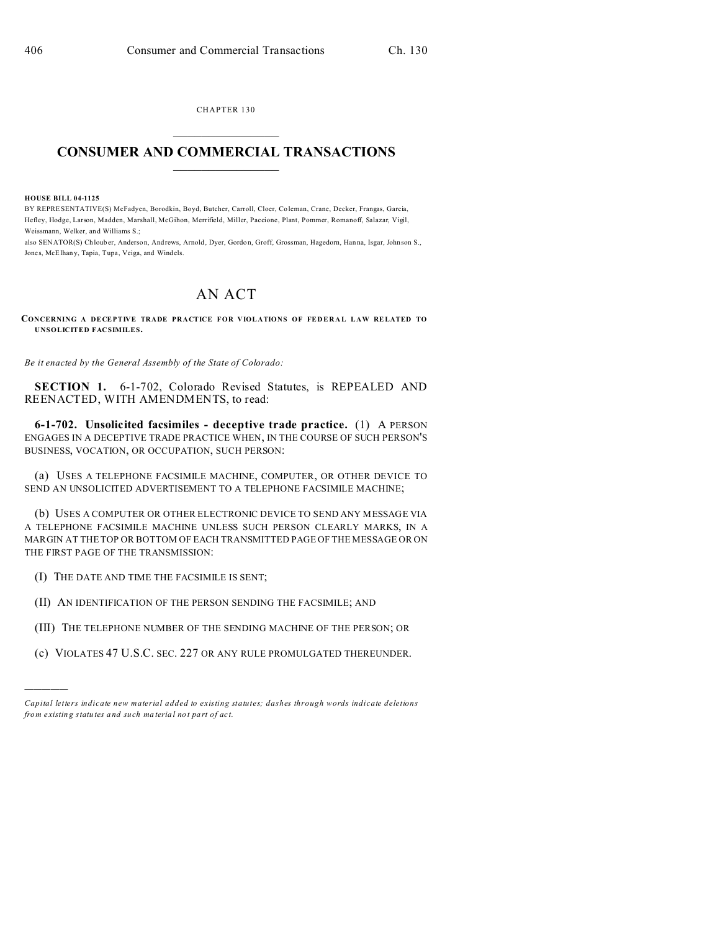CHAPTER 130

## **CONSUMER AND COMMERCIAL TRANSACTIONS**

## **HOUSE BILL 04-1125**

BY REPRESENTATIVE(S) McFadyen, Borodkin, Boyd, Butcher, Carroll, Cloer, Coleman, Crane, Decker, Frangas, Garcia, Hefley, Hodge, Larson, Madden, Marshall, McGihon, Merrifield, Miller, Paccione, Plant, Pommer, Romanoff, Salazar, Vigil, Weissmann. Welker, and Williams S.;

also SENATOR(S) Chlouber, Anderson, Andrews, Arnold, Dyer, Gordon, Groff, Grossman, Hagedorn, Hanna, Isgar, Johnson S., Jones, McElhany, Tapia, Tupa, Veiga, and Windels.

## **AN ACT**

## CONCERNING A DECEPTIVE TRADE PRACTICE FOR VIOLATIONS OF FEDERAL LAW RELATED TO **UNSOLICITED FACSIMILES.**

Be it enacted by the General Assembly of the State of Colorado:

SECTION 1. 6-1-702, Colorado Revised Statutes, is REPEALED AND REENACTED, WITH AMENDMENTS, to read:

6-1-702. Unsolicited facsimiles - deceptive trade practice. (1) A PERSON ENGAGES IN A DECEPTIVE TRADE PRACTICE WHEN, IN THE COURSE OF SUCH PERSON'S BUSINESS, VOCATION, OR OCCUPATION, SUCH PERSON:

(a) USES A TELEPHONE FACSIMILE MACHINE, COMPUTER, OR OTHER DEVICE TO SEND AN UNSOLICITED ADVERTISEMENT TO A TELEPHONE FACSIMILE MACHINE;

(b) USES A COMPUTER OR OTHER ELECTRONIC DEVICE TO SEND ANY MESSAGE VIA A TELEPHONE FACSIMILE MACHINE UNLESS SUCH PERSON CLEARLY MARKS, IN A MARGIN AT THE TOP OR BOTTOM OF EACH TRANSMITTED PAGE OF THE MESSAGE OR ON THE FIRST PAGE OF THE TRANSMISSION:

(I) THE DATE AND TIME THE FACSIMILE IS SENT;

(II) AN IDENTIFICATION OF THE PERSON SENDING THE FACSIMILE; AND

(III) THE TELEPHONE NUMBER OF THE SENDING MACHINE OF THE PERSON; OR

(c) VIOLATES 47 U.S.C. SEC. 227 OR ANY RULE PROMULGATED THEREUNDER.

Capital letters indicate new material added to existing statutes; dashes through words indicate deletions from existing statutes and such material not part of act.